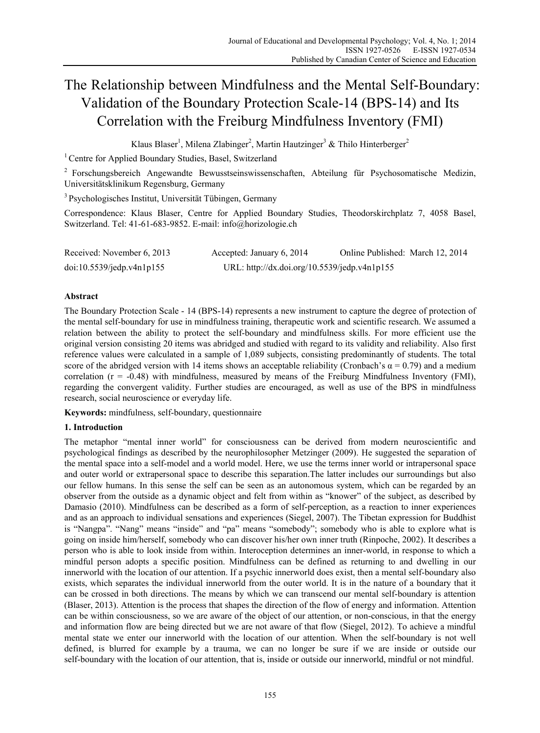# The Relationship between Mindfulness and the Mental Self-Boundary: Validation of the Boundary Protection Scale-14 (BPS-14) and Its Correlation with the Freiburg Mindfulness Inventory (FMI)

Klaus Blaser<sup>1</sup>, Milena Zlabinger<sup>2</sup>, Martin Hautzinger<sup>3</sup> & Thilo Hinterberger<sup>2</sup>

<sup>1</sup> Centre for Applied Boundary Studies, Basel, Switzerland

<sup>2</sup> Forschungsbereich Angewandte Bewusstseinswissenschaften, Abteilung für Psychosomatische Medizin, Universitätsklinikum Regensburg, Germany

3 Psychologisches Institut, Universität Tübingen, Germany

Correspondence: Klaus Blaser, Centre for Applied Boundary Studies, Theodorskirchplatz 7, 4058 Basel, Switzerland. Tel: 41-61-683-9852. E-mail: info@horizologie.ch

| Received: November 6, 2013   | Accepted: January 6, 2014                    | Online Published: March 12, 2014 |
|------------------------------|----------------------------------------------|----------------------------------|
| $doi:10.5539/j$ edp.v4n1p155 | URL: http://dx.doi.org/10.5539/jedp.v4n1p155 |                                  |

# **Abstract**

The Boundary Protection Scale - 14 (BPS-14) represents a new instrument to capture the degree of protection of the mental self-boundary for use in mindfulness training, therapeutic work and scientific research. We assumed a relation between the ability to protect the self-boundary and mindfulness skills. For more efficient use the original version consisting 20 items was abridged and studied with regard to its validity and reliability. Also first reference values were calculated in a sample of 1,089 subjects, consisting predominantly of students. The total score of the abridged version with 14 items shows an acceptable reliability (Cronbach's  $\alpha = 0.79$ ) and a medium correlation  $(r = -0.48)$  with mindfulness, measured by means of the Freiburg Mindfulness Inventory (FMI), regarding the convergent validity. Further studies are encouraged, as well as use of the BPS in mindfulness research, social neuroscience or everyday life.

**Keywords:** mindfulness, self-boundary, questionnaire

## **1. Introduction**

The metaphor "mental inner world" for consciousness can be derived from modern neuroscientific and psychological findings as described by the neurophilosopher Metzinger (2009). He suggested the separation of the mental space into a self-model and a world model. Here, we use the terms inner world or intrapersonal space and outer world or extrapersonal space to describe this separation.The latter includes our surroundings but also our fellow humans. In this sense the self can be seen as an autonomous system, which can be regarded by an observer from the outside as a dynamic object and felt from within as "knower" of the subject, as described by Damasio (2010). Mindfulness can be described as a form of self-perception, as a reaction to inner experiences and as an approach to individual sensations and experiences (Siegel, 2007). The Tibetan expression for Buddhist is "Nangpa". "Nang" means "inside" and "pa" means "somebody"; somebody who is able to explore what is going on inside him/herself, somebody who can discover his/her own inner truth (Rinpoche, 2002). It describes a person who is able to look inside from within. Interoception determines an inner-world, in response to which a mindful person adopts a specific position. Mindfulness can be defined as returning to and dwelling in our innerworld with the location of our attention. If a psychic innerworld does exist, then a mental self-boundary also exists, which separates the individual innerworld from the outer world. It is in the nature of a boundary that it can be crossed in both directions. The means by which we can transcend our mental self-boundary is attention (Blaser, 2013). Attention is the process that shapes the direction of the flow of energy and information. Attention can be within consciousness, so we are aware of the object of our attention, or non-conscious, in that the energy and information flow are being directed but we are not aware of that flow (Siegel, 2012). To achieve a mindful mental state we enter our innerworld with the location of our attention. When the self-boundary is not well defined, is blurred for example by a trauma, we can no longer be sure if we are inside or outside our self-boundary with the location of our attention, that is, inside or outside our innerworld, mindful or not mindful.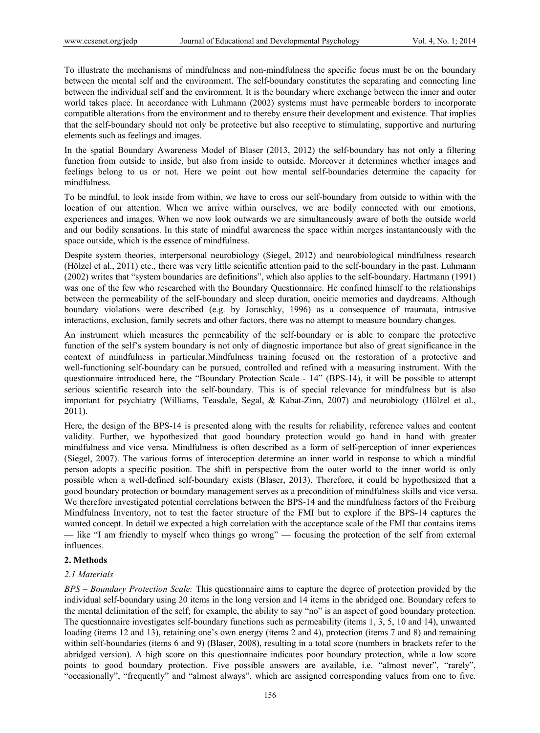To illustrate the mechanisms of mindfulness and non-mindfulness the specific focus must be on the boundary between the mental self and the environment. The self-boundary constitutes the separating and connecting line between the individual self and the environment. It is the boundary where exchange between the inner and outer world takes place. In accordance with Luhmann (2002) systems must have permeable borders to incorporate compatible alterations from the environment and to thereby ensure their development and existence. That implies that the self-boundary should not only be protective but also receptive to stimulating, supportive and nurturing elements such as feelings and images.

In the spatial Boundary Awareness Model of Blaser (2013, 2012) the self-boundary has not only a filtering function from outside to inside, but also from inside to outside. Moreover it determines whether images and feelings belong to us or not. Here we point out how mental self-boundaries determine the capacity for mindfulness.

To be mindful, to look inside from within, we have to cross our self-boundary from outside to within with the location of our attention. When we arrive within ourselves, we are bodily connected with our emotions, experiences and images. When we now look outwards we are simultaneously aware of both the outside world and our bodily sensations. In this state of mindful awareness the space within merges instantaneously with the space outside, which is the essence of mindfulness.

Despite system theories, interpersonal neurobiology (Siegel, 2012) and neurobiological mindfulness research (Hölzel et al., 2011) etc., there was very little scientific attention paid to the self-boundary in the past. Luhmann (2002) writes that "system boundaries are definitions", which also applies to the self-boundary. Hartmann (1991) was one of the few who researched with the Boundary Questionnaire. He confined himself to the relationships between the permeability of the self-boundary and sleep duration, oneiric memories and daydreams. Although boundary violations were described (e.g. by Joraschky, 1996) as a consequence of traumata, intrusive interactions, exclusion, family secrets and other factors, there was no attempt to measure boundary changes.

An instrument which measures the permeability of the self-boundary or is able to compare the protective function of the self's system boundary is not only of diagnostic importance but also of great significance in the context of mindfulness in particular.Mindfulness training focused on the restoration of a protective and well-functioning self-boundary can be pursued, controlled and refined with a measuring instrument. With the questionnaire introduced here, the "Boundary Protection Scale - 14" (BPS-14), it will be possible to attempt serious scientific research into the self-boundary. This is of special relevance for mindfulness but is also important for psychiatry (Williams, Teasdale, Segal, & Kabat-Zinn, 2007) and neurobiology (Hölzel et al., 2011).

Here, the design of the BPS-14 is presented along with the results for reliability, reference values and content validity. Further, we hypothesized that good boundary protection would go hand in hand with greater mindfulness and vice versa. Mindfulness is often described as a form of self-perception of inner experiences (Siegel, 2007). The various forms of interoception determine an inner world in response to which a mindful person adopts a specific position. The shift in perspective from the outer world to the inner world is only possible when a well-defined self-boundary exists (Blaser, 2013). Therefore, it could be hypothesized that a good boundary protection or boundary management serves as a precondition of mindfulness skills and vice versa. We therefore investigated potential correlations between the BPS-14 and the mindfulness factors of the Freiburg Mindfulness Inventory, not to test the factor structure of the FMI but to explore if the BPS-14 captures the wanted concept. In detail we expected a high correlation with the acceptance scale of the FMI that contains items — like "I am friendly to myself when things go wrong" — focusing the protection of the self from external influences.

## **2. Methods**

#### *2.1 Materials*

*BPS – Boundary Protection Scale:* This questionnaire aims to capture the degree of protection provided by the individual self-boundary using 20 items in the long version and 14 items in the abridged one. Boundary refers to the mental delimitation of the self; for example, the ability to say "no" is an aspect of good boundary protection. The questionnaire investigates self-boundary functions such as permeability (items 1, 3, 5, 10 and 14), unwanted loading (items 12 and 13), retaining one's own energy (items 2 and 4), protection (items 7 and 8) and remaining within self-boundaries (items 6 and 9) (Blaser, 2008), resulting in a total score (numbers in brackets refer to the abridged version). A high score on this questionnaire indicates poor boundary protection, while a low score points to good boundary protection. Five possible answers are available, i.e. "almost never", "rarely", "occasionally", "frequently" and "almost always", which are assigned corresponding values from one to five.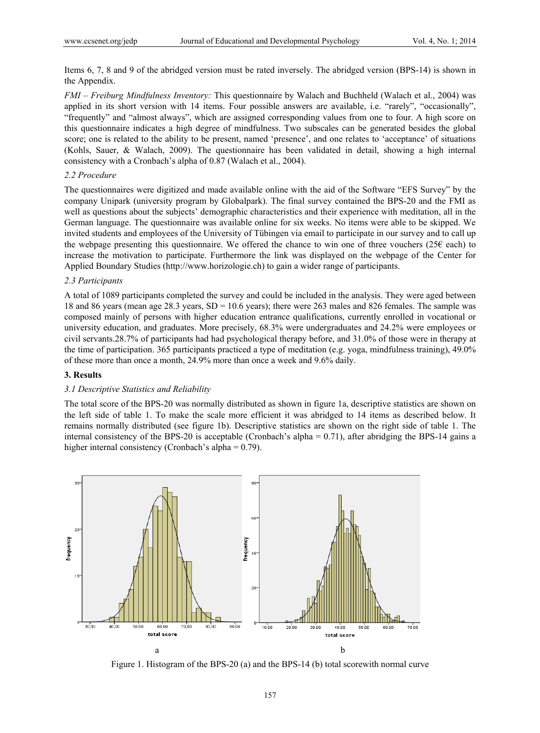Items 6, 7, 8 and 9 of the abridged version must be rated inversely. The abridged version (BPS-14) is shown in the Appendix.

*FMI – Freiburg Mindfulness Inventory:* This questionnaire by Walach and Buchheld (Walach et al., 2004) was applied in its short version with 14 items. Four possible answers are available, i.e. "rarely", "occasionally", "frequently" and "almost always", which are assigned corresponding values from one to four. A high score on this questionnaire indicates a high degree of mindfulness. Two subscales can be generated besides the global score; one is related to the ability to be present, named 'presence', and one relates to 'acceptance' of situations (Kohls, Sauer, & Walach, 2009). The questionnaire has been validated in detail, showing a high internal consistency with a Cronbach's alpha of 0.87 (Walach et al., 2004).

## *2.2 Procedure*

The questionnaires were digitized and made available online with the aid of the Software "EFS Survey" by the company Unipark (university program by Globalpark). The final survey contained the BPS-20 and the FMI as well as questions about the subjects' demographic characteristics and their experience with meditation, all in the German language. The questionnaire was available online for six weeks. No items were able to be skipped. We invited students and employees of the University of Tübingen via email to participate in our survey and to call up the webpage presenting this questionnaire. We offered the chance to win one of three vouchers (25 $\epsilon$  each) to increase the motivation to participate. Furthermore the link was displayed on the webpage of the Center for Applied Boundary Studies (http://www.horizologie.ch) to gain a wider range of participants.

#### *2.3 Participants*

A total of 1089 participants completed the survey and could be included in the analysis. They were aged between 18 and 86 years (mean age 28.3 years, SD = 10.6 years); there were 263 males and 826 females. The sample was composed mainly of persons with higher education entrance qualifications, currently enrolled in vocational or university education, and graduates. More precisely, 68.3% were undergraduates and 24.2% were employees or civil servants.28.7% of participants had had psychological therapy before, and 31.0% of those were in therapy at the time of participation. 365 participants practiced a type of meditation (e.g. yoga, mindfulness training), 49.0% of these more than once a month, 24.9% more than once a week and 9.6% daily.

#### **3. Results**

#### *3.1 Descriptive Statistics and Reliability*

The total score of the BPS-20 was normally distributed as shown in figure 1a, descriptive statistics are shown on the left side of table 1. To make the scale more efficient it was abridged to 14 items as described below. It remains normally distributed (see figure 1b). Descriptive statistics are shown on the right side of table 1. The internal consistency of the BPS-20 is acceptable (Cronbach's alpha = 0.71), after abridging the BPS-14 gains a higher internal consistency (Cronbach's alpha = 0.79).



Figure 1. Histogram of the BPS-20 (a) and the BPS-14 (b) total scorewith normal curve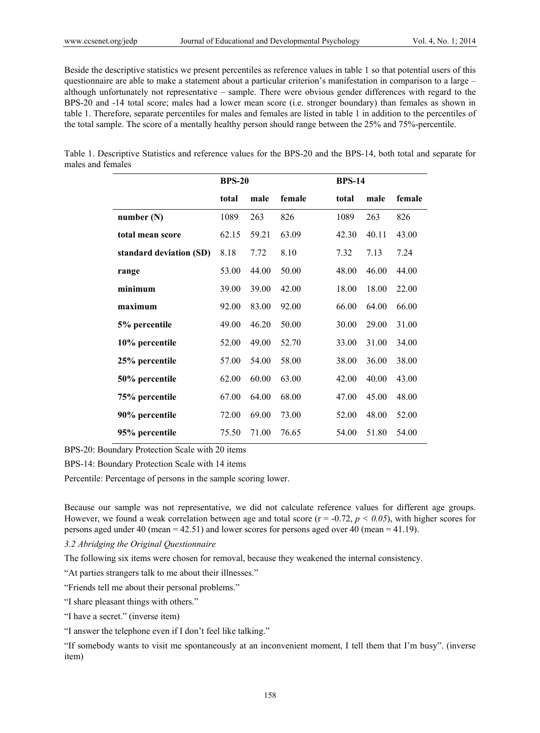Beside the descriptive statistics we present percentiles as reference values in table 1 so that potential users of this questionnaire are able to make a statement about a particular criterion's manifestation in comparison to a large – although unfortunately not representative – sample. There were obvious gender differences with regard to the BPS-20 and -14 total score; males had a lower mean score (i.e. stronger boundary) than females as shown in table 1. Therefore, separate percentiles for males and females are listed in table 1 in addition to the percentiles of the total sample. The score of a mentally healthy person should range between the 25% and 75%-percentile.

Table 1. Descriptive Statistics and reference values for the BPS-20 and the BPS-14, both total and separate for males and females

|                         | <b>BPS-20</b> |       |        |       | <b>BPS-14</b> |        |  |
|-------------------------|---------------|-------|--------|-------|---------------|--------|--|
|                         | total         | male  | female | total | male          | female |  |
| number(N)               | 1089          | 263   | 826    | 1089  | 263           | 826    |  |
| total mean score        | 62.15         | 59.21 | 63.09  | 42.30 | 40.11         | 43.00  |  |
| standard deviation (SD) | 8.18          | 7.72  | 8.10   | 7.32  | 7.13          | 7.24   |  |
| range                   | 53.00         | 44.00 | 50.00  | 48.00 | 46.00         | 44.00  |  |
| minimum                 | 39.00         | 39.00 | 42.00  | 18.00 | 18.00         | 22.00  |  |
| maximum                 | 92.00         | 83.00 | 92.00  | 66.00 | 64.00         | 66.00  |  |
| 5% percentile           | 49.00         | 46.20 | 50.00  | 30.00 | 29.00         | 31.00  |  |
| 10% percentile          | 52.00         | 49.00 | 52.70  | 33.00 | 31.00         | 34.00  |  |
| 25% percentile          | 57.00         | 54.00 | 58.00  | 38.00 | 36.00         | 38.00  |  |
| 50% percentile          | 62.00         | 60.00 | 63.00  | 42.00 | 40.00         | 43.00  |  |
| 75% percentile          | 67.00         | 64.00 | 68.00  | 47.00 | 45.00         | 48.00  |  |
| 90% percentile          | 72.00         | 69.00 | 73.00  | 52.00 | 48.00         | 52.00  |  |
| 95% percentile          | 75.50         | 71.00 | 76.65  | 54.00 | 51.80         | 54.00  |  |

BPS-20: Boundary Protection Scale with 20 items

BPS-14: Boundary Protection Scale with 14 items

Percentile: Percentage of persons in the sample scoring lower.

Because our sample was not representative, we did not calculate reference values for different age groups. However, we found a weak correlation between age and total score  $(r = -0.72, p < 0.05)$ , with higher scores for persons aged under 40 (mean = 42.51) and lower scores for persons aged over 40 (mean = 41.19).

*3.2 Abridging the Original Questionnaire* 

The following six items were chosen for removal, because they weakened the internal consistency.

"At parties strangers talk to me about their illnesses."

"Friends tell me about their personal problems."

"I share pleasant things with others."

"I have a secret." (inverse item)

"I answer the telephone even if I don't feel like talking."

"If somebody wants to visit me spontaneously at an inconvenient moment, I tell them that I'm busy". (inverse item)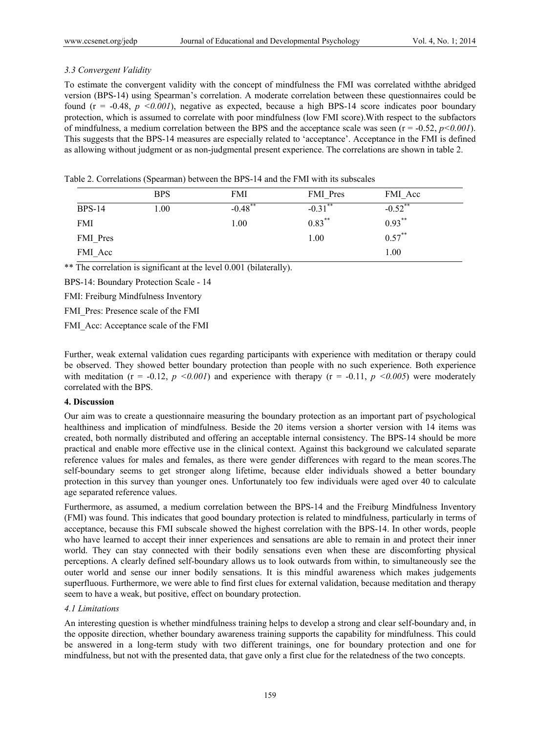# *3.3 Convergent Validity*

To estimate the convergent validity with the concept of mindfulness the FMI was correlated withthe abridged version (BPS-14) using Spearman's correlation. A moderate correlation between these questionnaires could be found ( $r = -0.48$ ,  $p \le 0.001$ ), negative as expected, because a high BPS-14 score indicates poor boundary protection, which is assumed to correlate with poor mindfulness (low FMI score).With respect to the subfactors of mindfulness, a medium correlation between the BPS and the acceptance scale was seen  $(r = -0.52, p < 0.001)$ . This suggests that the BPS-14 measures are especially related to 'acceptance'. Acceptance in the FMI is defined as allowing without judgment or as non-judgmental present experience. The correlations are shown in table 2.

|               | <b>BPS</b> | FMI        | FMI Pres   | FMI Acc    |
|---------------|------------|------------|------------|------------|
| <b>BPS-14</b> | 1.00       | $-0.48$ ** | $-0.31***$ | $-0.52$ ** |
| <b>FMI</b>    |            | 1.00       | $0.83***$  | $0.93***$  |
| FMI Pres      |            |            | 1.00       | $0.57***$  |
| FMI Acc       |            |            |            | 1.00       |

Table 2. Correlations (Spearman) between the BPS-14 and the FMI with its subscales

\*\* The correlation is significant at the level 0.001 (bilaterally).

BPS-14: Boundary Protection Scale - 14

FMI: Freiburg Mindfulness Inventory

FMI\_Pres: Presence scale of the FMI

FMI\_Acc: Acceptance scale of the FMI

Further, weak external validation cues regarding participants with experience with meditation or therapy could be observed. They showed better boundary protection than people with no such experience. Both experience with meditation ( $r = -0.12$ ,  $p \le 0.001$ ) and experience with therapy ( $r = -0.11$ ,  $p \le 0.005$ ) were moderately correlated with the BPS.

# **4. Discussion**

Our aim was to create a questionnaire measuring the boundary protection as an important part of psychological healthiness and implication of mindfulness. Beside the 20 items version a shorter version with 14 items was created, both normally distributed and offering an acceptable internal consistency. The BPS-14 should be more practical and enable more effective use in the clinical context. Against this background we calculated separate reference values for males and females, as there were gender differences with regard to the mean scores.The self-boundary seems to get stronger along lifetime, because elder individuals showed a better boundary protection in this survey than younger ones. Unfortunately too few individuals were aged over 40 to calculate age separated reference values.

Furthermore, as assumed, a medium correlation between the BPS-14 and the Freiburg Mindfulness Inventory (FMI) was found. This indicates that good boundary protection is related to mindfulness, particularly in terms of acceptance, because this FMI subscale showed the highest correlation with the BPS-14. In other words, people who have learned to accept their inner experiences and sensations are able to remain in and protect their inner world. They can stay connected with their bodily sensations even when these are discomforting physical perceptions. A clearly defined self-boundary allows us to look outwards from within, to simultaneously see the outer world and sense our inner bodily sensations. It is this mindful awareness which makes judgements superfluous. Furthermore, we were able to find first clues for external validation, because meditation and therapy seem to have a weak, but positive, effect on boundary protection.

## *4.1 Limitations*

An interesting question is whether mindfulness training helps to develop a strong and clear self-boundary and, in the opposite direction, whether boundary awareness training supports the capability for mindfulness. This could be answered in a long-term study with two different trainings, one for boundary protection and one for mindfulness, but not with the presented data, that gave only a first clue for the relatedness of the two concepts.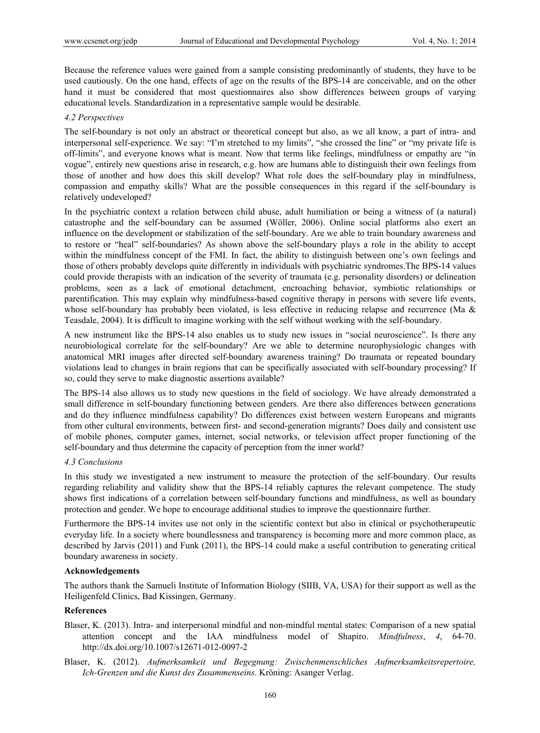Because the reference values were gained from a sample consisting predominantly of students, they have to be used cautiously. On the one hand, effects of age on the results of the BPS-14 are conceivable, and on the other hand it must be considered that most questionnaires also show differences between groups of varying educational levels. Standardization in a representative sample would be desirable.

#### *4.2 Perspectives*

The self-boundary is not only an abstract or theoretical concept but also, as we all know, a part of intra- and interpersonal self-experience. We say: "I'm stretched to my limits", "she crossed the line" or "my private life is off-limits", and everyone knows what is meant. Now that terms like feelings, mindfulness or empathy are "in vogue", entirely new questions arise in research, e.g. how are humans able to distinguish their own feelings from those of another and how does this skill develop? What role does the self-boundary play in mindfulness, compassion and empathy skills? What are the possible consequences in this regard if the self-boundary is relatively undeveloped?

In the psychiatric context a relation between child abuse, adult humiliation or being a witness of (a natural) catastrophe and the self-boundary can be assumed (Wöller, 2006). Online social platforms also exert an influence on the development or stabilization of the self-boundary. Are we able to train boundary awareness and to restore or "heal" self-boundaries? As shown above the self-boundary plays a role in the ability to accept within the mindfulness concept of the FMI. In fact, the ability to distinguish between one's own feelings and those of others probably develops quite differently in individuals with psychiatric syndromes.The BPS-14 values could provide therapists with an indication of the severity of traumata (e.g. personality disorders) or delineation problems, seen as a lack of emotional detachment, encroaching behavior, symbiotic relationships or parentification. This may explain why mindfulness-based cognitive therapy in persons with severe life events, whose self-boundary has probably been violated, is less effective in reducing relapse and recurrence (Ma & Teasdale, 2004). It is difficult to imagine working with the self without working with the self-boundary.

A new instrument like the BPS-14 also enables us to study new issues in "social neuroscience". Is there any neurobiological correlate for the self-boundary? Are we able to determine neurophysiologic changes with anatomical MRI images after directed self-boundary awareness training? Do traumata or repeated boundary violations lead to changes in brain regions that can be specifically associated with self-boundary processing? If so, could they serve to make diagnostic assertions available?

The BPS-14 also allows us to study new questions in the field of sociology. We have already demonstrated a small difference in self-boundary functioning between genders. Are there also differences between generations and do they influence mindfulness capability? Do differences exist between western Europeans and migrants from other cultural environments, between first- and second-generation migrants? Does daily and consistent use of mobile phones, computer games, internet, social networks, or television affect proper functioning of the self-boundary and thus determine the capacity of perception from the inner world?

## *4.3 Conclusions*

In this study we investigated a new instrument to measure the protection of the self-boundary. Our results regarding reliability and validity show that the BPS-14 reliably captures the relevant competence. The study shows first indications of a correlation between self-boundary functions and mindfulness, as well as boundary protection and gender. We hope to encourage additional studies to improve the questionnaire further.

Furthermore the BPS-14 invites use not only in the scientific context but also in clinical or psychotherapeutic everyday life. In a society where boundlessness and transparency is becoming more and more common place, as described by Jarvis (2011) and Funk (2011), the BPS-14 could make a useful contribution to generating critical boundary awareness in society.

#### **Acknowledgements**

The authors thank the Samueli Institute of Information Biology (SIIB, VA, USA) for their support as well as the Heiligenfeld Clinics, Bad Kissingen, Germany.

# **References**

- Blaser, K. (2013). Intra- and interpersonal mindful and non-mindful mental states: Comparison of a new spatial attention concept and the IAA mindfulness model of Shapiro. *Mindfulness*, *4*, 64-70. http://dx.doi.org/10.1007/s12671-012-0097-2
- Blaser, K. (2012). *Aufmerksamkeit und Begegnung: Zwischenmenschliches Aufmerksamkeitsrepertoire, Ich-Grenzen und die Kunst des Zusammenseins*. Kröning: Asanger Verlag.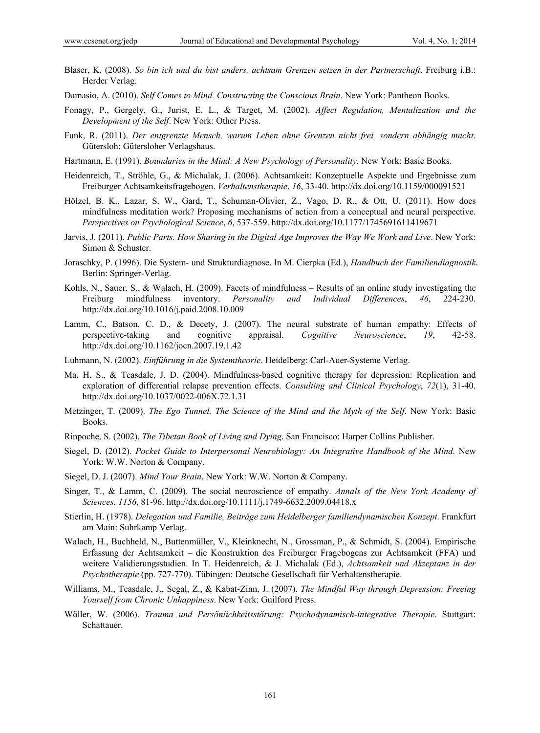- Blaser, K. (2008). *So bin ich und du bist anders, achtsam Grenzen setzen in der Partnerschaft*. Freiburg i.B.: Herder Verlag.
- Damasio, A. (2010). *Self Comes to Mind. Constructing the Conscious Brain*. New York: Pantheon Books.
- Fonagy, P., Gergely, G., Jurist, E. L., & Target, M. (2002). *Affect Regulation, Mentalization and the Development of the Self*. New York: Other Press.
- Funk, R. (2011). *Der entgrenzte Mensch, warum Leben ohne Grenzen nicht frei, sondern abhängig macht*. Gütersloh: Gütersloher Verlagshaus.
- Hartmann, E. (1991). *Boundaries in the Mind: A New Psychology of Personality*. New York: Basic Books.
- Heidenreich, T., Ströhle, G., & Michalak, J. (2006). Achtsamkeit: Konzeptuelle Aspekte und Ergebnisse zum Freiburger Achtsamkeitsfragebogen. *Verhaltenstherapie*, *16*, 33-40. http://dx.doi.org/10.1159/000091521
- Hölzel, B. K., Lazar, S. W., Gard, T., Schuman-Olivier, Z., Vago, D. R., & Ott, U. (2011). How does mindfulness meditation work? Proposing mechanisms of action from a conceptual and neural perspective. *Perspectives on Psychological Science*, *6*, 537-559. http://dx.doi.org/10.1177/1745691611419671
- Jarvis, J. (2011). *Public Parts. How Sharing in the Digital Age Improves the Way We Work and Live*. New York: Simon & Schuster.
- Joraschky, P. (1996). Die System- und Strukturdiagnose. In M. Cierpka (Ed.), *Handbuch der Familiendiagnostik*. Berlin: Springer-Verlag.
- Kohls, N., Sauer, S., & Walach, H. (2009). Facets of mindfulness Results of an online study investigating the Freiburg mindfulness inventory. *Personality and Individual Differences*, *46*, 224-230. http://dx.doi.org/10.1016/j.paid.2008.10.009
- Lamm, C., Batson, C. D., & Decety, J. (2007). The neural substrate of human empathy: Effects of perspective-taking and cognitive appraisal. *Cognitive Neuroscience*, *19*, 42-58. http://dx.doi.org/10.1162/jocn.2007.19.1.42
- Luhmann, N. (2002). *Einführung in die Systemtheorie*. Heidelberg: Carl-Auer-Systeme Verlag.
- Ma, H. S., & Teasdale, J. D. (2004). Mindfulness-based cognitive therapy for depression: Replication and exploration of differential relapse prevention effects. *Consulting and Clinical Psychology*, *72*(1), 31-40. http://dx.doi.org/10.1037/0022-006X.72.1.31
- Metzinger, T. (2009). *The Ego Tunnel. The Science of the Mind and the Myth of the Self*. New York: Basic Books.
- Rinpoche, S. (2002). *The Tibetan Book of Living and Dying*. San Francisco: Harper Collins Publisher.
- Siegel, D. (2012). *Pocket Guide to Interpersonal Neurobiology: An Integrative Handbook of the Mind*. New York: W.W. Norton & Company.
- Siegel, D. J. (2007). *Mind Your Brain*. New York: W.W. Norton & Company.
- Singer, T., & Lamm, C. (2009). The social neuroscience of empathy. *Annals of the New York Academy of Sciences*, *1156*, 81-96. http://dx.doi.org/10.1111/j.1749-6632.2009.04418.x
- Stierlin, H. (1978). *Delegation und Familie, Beiträge zum Heidelberger familiendynamischen Konzept*. Frankfurt am Main: Suhrkamp Verlag.
- Walach, H., Buchheld, N., Buttenmüller, V., Kleinknecht, N., Grossman, P., & Schmidt, S. (2004). Empirische Erfassung der Achtsamkeit – die Konstruktion des Freiburger Fragebogens zur Achtsamkeit (FFA) und weitere Validierungsstudien. In T. Heidenreich, & J. Michalak (Ed.), *Achtsamkeit und Akzeptanz in der Psychotherapie* (pp. 727-770). Tübingen: Deutsche Gesellschaft für Verhaltenstherapie.
- Williams, M., Teasdale, J., Segal, Z., & Kabat-Zinn, J. (2007). *The Mindful Way through Depression: Freeing Yourself from Chronic Unhappiness*. New York: Guilford Press.
- Wöller, W. (2006). *Trauma und Persönlichkeitsstörung: Psychodynamisch-integrative Therapie*. Stuttgart: Schattauer.